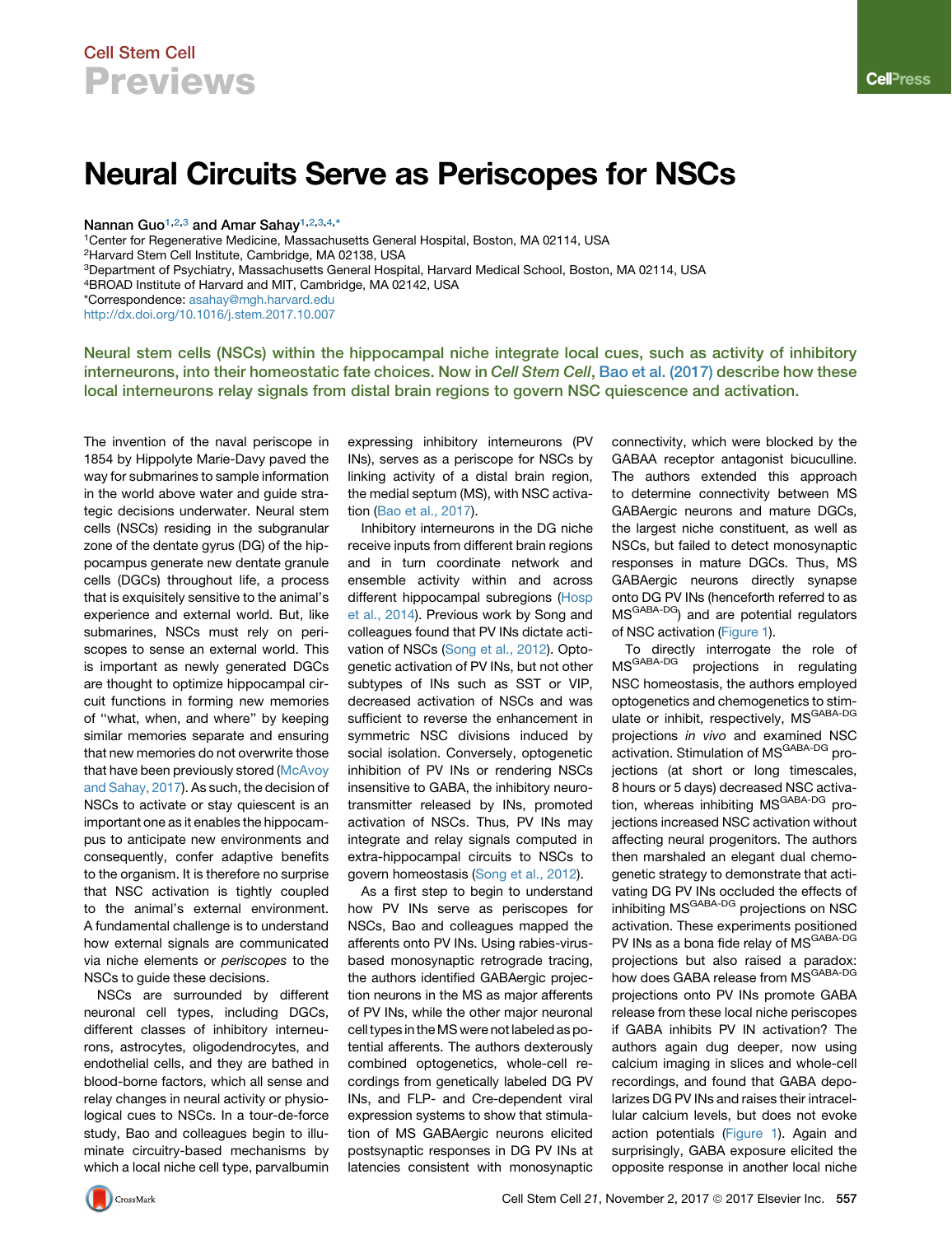## Cell Stem Cell Previews

Nannan Guo<sup>[1](#page-0-0)[,2,](#page-0-1)[3](#page-0-2)</sup> and Amar Sahay<sup>[1,](#page-0-0)[2,](#page-0-1)3[,4,](#page-0-3)[\\*](#page-0-4)</sup>

<span id="page-0-0"></span>1Center for Regenerative Medicine, Massachusetts General Hospital, Boston, MA 02114, USA

<span id="page-0-2"></span>3Department of Psychiatry, Massachusetts General Hospital, Harvard Medical School, Boston, MA 02114, USA

<span id="page-0-3"></span>4BROAD Institute of Harvard and MIT, Cambridge, MA 02142, USA

[http://dx.doi.org/10.1016/j.stem.2017.10.007](https://doi.org/10.1016/j.stem.2017.10.007)

Neural stem cells (NSCs) within the hippocampal niche integrate local cues, such as activity of inhibitory interneurons, into their homeostatic fate choices. Now in Cell Stem Cell, [Bao et al. \(2017\)](#page-2-0) describe how these local interneurons relay signals from distal brain regions to govern NSC quiescence and activation.

The invention of the naval periscope in 1854 by Hippolyte Marie-Davy paved the way for submarines to sample information in the world above water and guide strategic decisions underwater. Neural stem cells (NSCs) residing in the subgranular zone of the dentate gyrus (DG) of the hippocampus generate new dentate granule cells (DGCs) throughout life, a process that is exquisitely sensitive to the animal's experience and external world. But, like submarines, NSCs must rely on periscopes to sense an external world. This is important as newly generated DGCs are thought to optimize hippocampal circuit functions in forming new memories of ''what, when, and where'' by keeping similar memories separate and ensuring that new memories do not overwrite those that have been previously stored ([McAvoy](#page-2-1) [and Sahay, 2017](#page-2-1)). As such, the decision of NSCs to activate or stay quiescent is an important one as it enables the hippocampus to anticipate new environments and consequently, confer adaptive benefits to the organism. It is therefore no surprise that NSC activation is tightly coupled to the animal's external environment. A fundamental challenge is to understand how external signals are communicated via niche elements or *periscopes* to the NSCs to guide these decisions.

NSCs are surrounded by different neuronal cell types, including DGCs, different classes of inhibitory interneurons, astrocytes, oligodendrocytes, and endothelial cells, and they are bathed in blood-borne factors, which all sense and relay changes in neural activity or physiological cues to NSCs. In a tour-de-force study, Bao and colleagues begin to illuminate circuitry-based mechanisms by which a local niche cell type, parvalbumin expressing inhibitory interneurons (PV INs), serves as a periscope for NSCs by linking activity of a distal brain region, the medial septum (MS), with NSC activation [\(Bao et al., 2017\)](#page-2-0).

Inhibitory interneurons in the DG niche receive inputs from different brain regions and in turn coordinate network and ensemble activity within and across different hippocampal subregions ([Hosp](#page-2-2) [et al., 2014](#page-2-2)). Previous work by Song and colleagues found that PV INs dictate activation of NSCs [\(Song et al., 2012\)](#page-2-3). Optogenetic activation of PV INs, but not other subtypes of INs such as SST or VIP, decreased activation of NSCs and was sufficient to reverse the enhancement in symmetric NSC divisions induced by social isolation. Conversely, optogenetic inhibition of PV INs or rendering NSCs insensitive to GABA, the inhibitory neurotransmitter released by INs, promoted activation of NSCs. Thus, PV INs may integrate and relay signals computed in extra-hippocampal circuits to NSCs to govern homeostasis [\(Song et al., 2012\)](#page-2-3).

As a first step to begin to understand how PV INs serve as periscopes for NSCs, Bao and colleagues mapped the afferents onto PV INs. Using rabies-virusbased monosynaptic retrograde tracing, the authors identified GABAergic projection neurons in the MS as major afferents of PV INs, while the other major neuronal cell types in theMS were not labeled as potential afferents. The authors dexterously combined optogenetics, whole-cell recordings from genetically labeled DG PV INs, and FLP- and Cre-dependent viral expression systems to show that stimulation of MS GABAergic neurons elicited postsynaptic responses in DG PV INs at latencies consistent with monosynaptic connectivity, which were blocked by the GABAA receptor antagonist bicuculline. The authors extended this approach to determine connectivity between MS GABAergic neurons and mature DGCs, the largest niche constituent, as well as NSCs, but failed to detect monosynaptic responses in mature DGCs. Thus, MS GABAergic neurons directly synapse onto DG PV INs (henceforth referred to as MSGABA-DG) and are potential regulators of NSC activation [\(Figure 1](#page-1-0)).

To directly interrogate the role of MSGABA-DG projections in regulating NSC homeostasis, the authors employed optogenetics and chemogenetics to stimulate or inhibit, respectively, MSGABA-DG projections *in vivo* and examined NSC activation. Stimulation of MS<sup>GABA-DG</sup> projections (at short or long timescales, 8 hours or 5 days) decreased NSC activation, whereas inhibiting MS<sup>GABA-DG</sup> projections increased NSC activation without affecting neural progenitors. The authors then marshaled an elegant dual chemogenetic strategy to demonstrate that activating DG PV INs occluded the effects of inhibiting MS<sup>GABA-DG</sup> projections on NSC activation. These experiments positioned PV INs as a bona fide relay of MS<sup>GABA-DG</sup> projections but also raised a paradox: how does GABA release from MS<sup>GABA-DG</sup> projections onto PV INs promote GABA release from these local niche periscopes if GABA inhibits PV IN activation? The authors again dug deeper, now using calcium imaging in slices and whole-cell recordings, and found that GABA depolarizes DG PV INs and raises their intracellular calcium levels, but does not evoke action potentials ([Figure 1](#page-1-0)). Again and surprisingly, GABA exposure elicited the opposite response in another local niche



<span id="page-0-1"></span><sup>2</sup>Harvard Stem Cell Institute, Cambridge, MA 02138, USA

<span id="page-0-4"></span><sup>\*</sup>Correspondence: [asahay@mgh.harvard.edu](mailto:asahay@mgh.harvard.edu)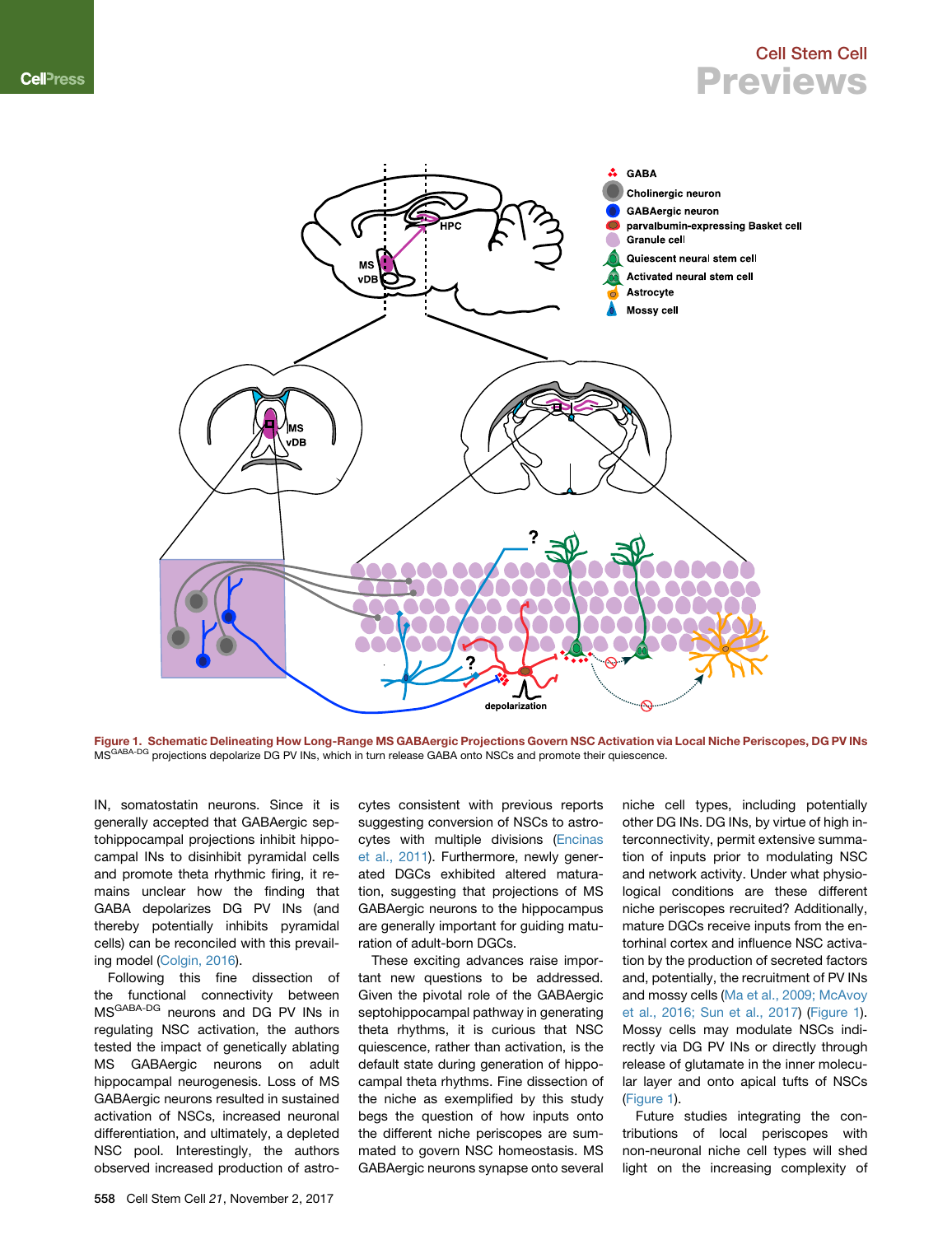#### Cell Stem Cell Previews

<span id="page-1-0"></span>

MS<sup>GABA-DG</sup> projections depolarize DG PV INs, which in turn release GABA onto NSCs and promote their quiescence.

IN, somatostatin neurons. Since it is generally accepted that GABAergic septohippocampal projections inhibit hippocampal INs to disinhibit pyramidal cells and promote theta rhythmic firing, it remains unclear how the finding that GABA depolarizes DG PV INs (and thereby potentially inhibits pyramidal cells) can be reconciled with this prevailing model ([Colgin, 2016](#page-2-4)).

Following this fine dissection of the functional connectivity between MSGABA-DG neurons and DG PV INs in regulating NSC activation, the authors tested the impact of genetically ablating MS GABAergic neurons on adult hippocampal neurogenesis. Loss of MS GABAergic neurons resulted in sustained activation of NSCs, increased neuronal differentiation, and ultimately, a depleted NSC pool. Interestingly, the authors observed increased production of astrocytes consistent with previous reports suggesting conversion of NSCs to astrocytes with multiple divisions ([Encinas](#page-2-5) [et al., 2011\)](#page-2-5). Furthermore, newly generated DGCs exhibited altered maturation, suggesting that projections of MS GABAergic neurons to the hippocampus are generally important for guiding maturation of adult-born DGCs.

These exciting advances raise important new questions to be addressed. Given the pivotal role of the GABAergic septohippocampal pathway in generating theta rhythms, it is curious that NSC quiescence, rather than activation, is the default state during generation of hippocampal theta rhythms. Fine dissection of the niche as exemplified by this study begs the question of how inputs onto the different niche periscopes are summated to govern NSC homeostasis. MS GABAergic neurons synapse onto several niche cell types, including potentially other DG INs. DG INs, by virtue of high interconnectivity, permit extensive summation of inputs prior to modulating NSC and network activity. Under what physiological conditions are these different niche periscopes recruited? Additionally, mature DGCs receive inputs from the entorhinal cortex and influence NSC activation by the production of secreted factors and, potentially, the recruitment of PV INs and mossy cells [\(Ma et al., 2009; McAvoy](#page-2-6) [et al., 2016; Sun et al., 2017\)](#page-2-6) ([Figure 1](#page-1-0)). Mossy cells may modulate NSCs indirectly via DG PV INs or directly through release of glutamate in the inner molecular layer and onto apical tufts of NSCs ([Figure 1](#page-1-0)).

Future studies integrating the contributions of local periscopes with non-neuronal niche cell types will shed light on the increasing complexity of